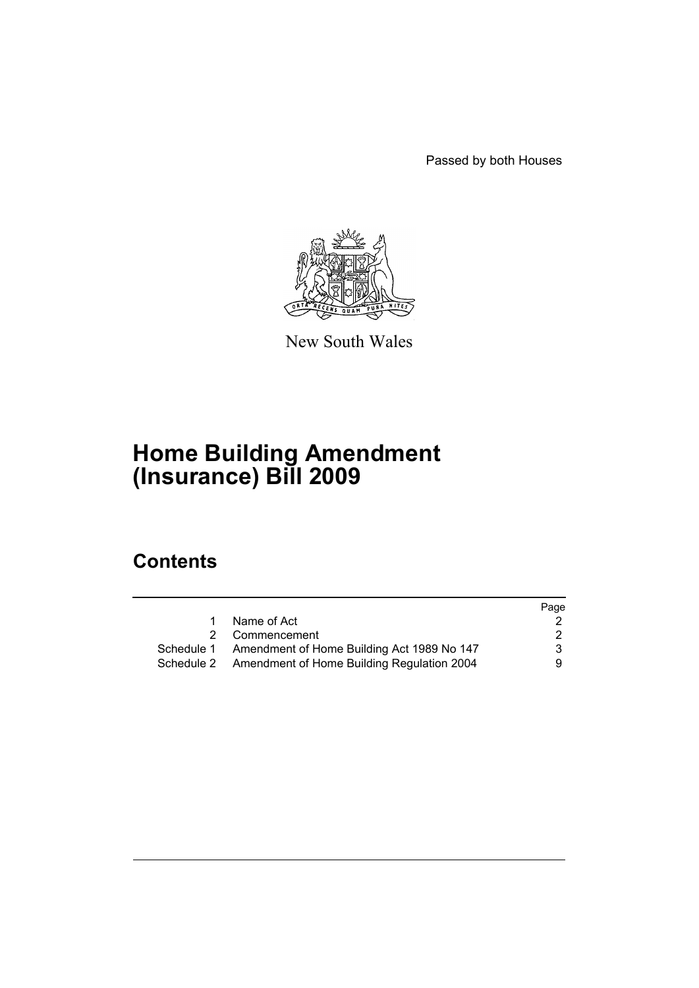Passed by both Houses



New South Wales

# **Home Building Amendment (Insurance) Bill 2009**

## **Contents**

|                                                       | Page |
|-------------------------------------------------------|------|
| Name of Act                                           |      |
| 2 Commencement                                        | 2    |
| Schedule 1 Amendment of Home Building Act 1989 No 147 | 3    |
| Schedule 2 Amendment of Home Building Regulation 2004 | 9.   |
|                                                       |      |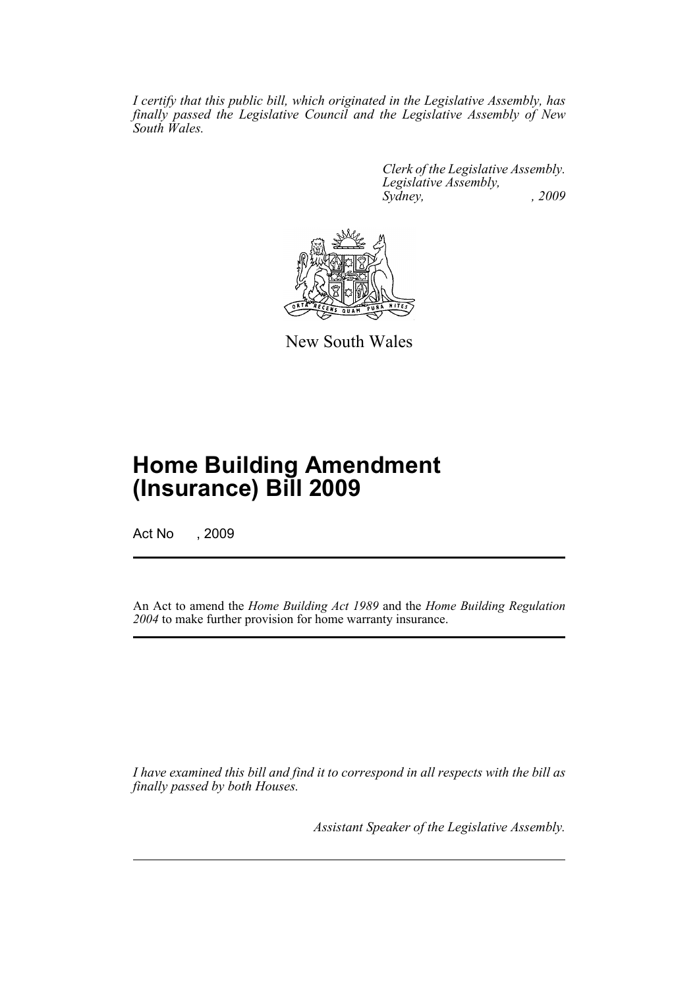*I certify that this public bill, which originated in the Legislative Assembly, has finally passed the Legislative Council and the Legislative Assembly of New South Wales.*

> *Clerk of the Legislative Assembly. Legislative Assembly, Sydney, , 2009*



New South Wales

## **Home Building Amendment (Insurance) Bill 2009**

Act No , 2009

An Act to amend the *Home Building Act 1989* and the *Home Building Regulation 2004* to make further provision for home warranty insurance.

*I have examined this bill and find it to correspond in all respects with the bill as finally passed by both Houses.*

*Assistant Speaker of the Legislative Assembly.*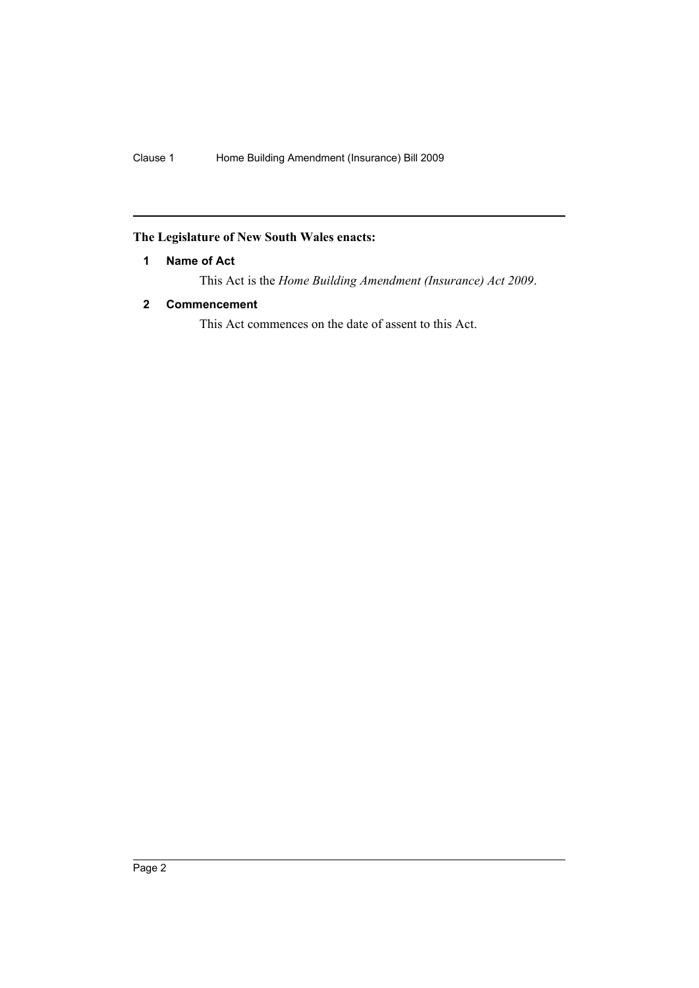### <span id="page-2-0"></span>**The Legislature of New South Wales enacts:**

#### **1 Name of Act**

This Act is the *Home Building Amendment (Insurance) Act 2009*.

#### <span id="page-2-1"></span>**2 Commencement**

This Act commences on the date of assent to this Act.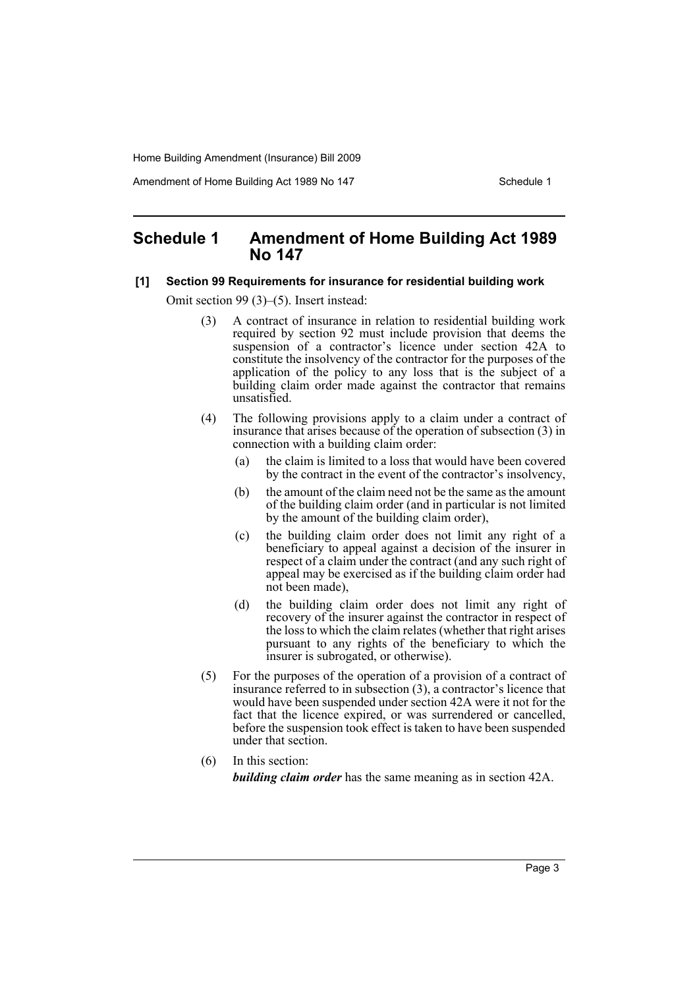Amendment of Home Building Act 1989 No 147 **Schedule 1** Schedule 1

### <span id="page-3-0"></span>**Schedule 1 Amendment of Home Building Act 1989 No 147**

#### **[1] Section 99 Requirements for insurance for residential building work**

Omit section 99 (3)–(5). Insert instead:

- (3) A contract of insurance in relation to residential building work required by section 92 must include provision that deems the suspension of a contractor's licence under section 42A to constitute the insolvency of the contractor for the purposes of the application of the policy to any loss that is the subject of a building claim order made against the contractor that remains unsatisfied.
- (4) The following provisions apply to a claim under a contract of insurance that arises because of the operation of subsection (3) in connection with a building claim order:
	- (a) the claim is limited to a loss that would have been covered by the contract in the event of the contractor's insolvency,
	- (b) the amount of the claim need not be the same as the amount of the building claim order (and in particular is not limited by the amount of the building claim order),
	- (c) the building claim order does not limit any right of a beneficiary to appeal against a decision of the insurer in respect of a claim under the contract (and any such right of appeal may be exercised as if the building claim order had not been made),
	- (d) the building claim order does not limit any right of recovery of the insurer against the contractor in respect of the loss to which the claim relates (whether that right arises pursuant to any rights of the beneficiary to which the insurer is subrogated, or otherwise).
- (5) For the purposes of the operation of a provision of a contract of insurance referred to in subsection (3), a contractor's licence that would have been suspended under section 42A were it not for the fact that the licence expired, or was surrendered or cancelled, before the suspension took effect is taken to have been suspended under that section.
- (6) In this section: *building claim order* has the same meaning as in section 42A.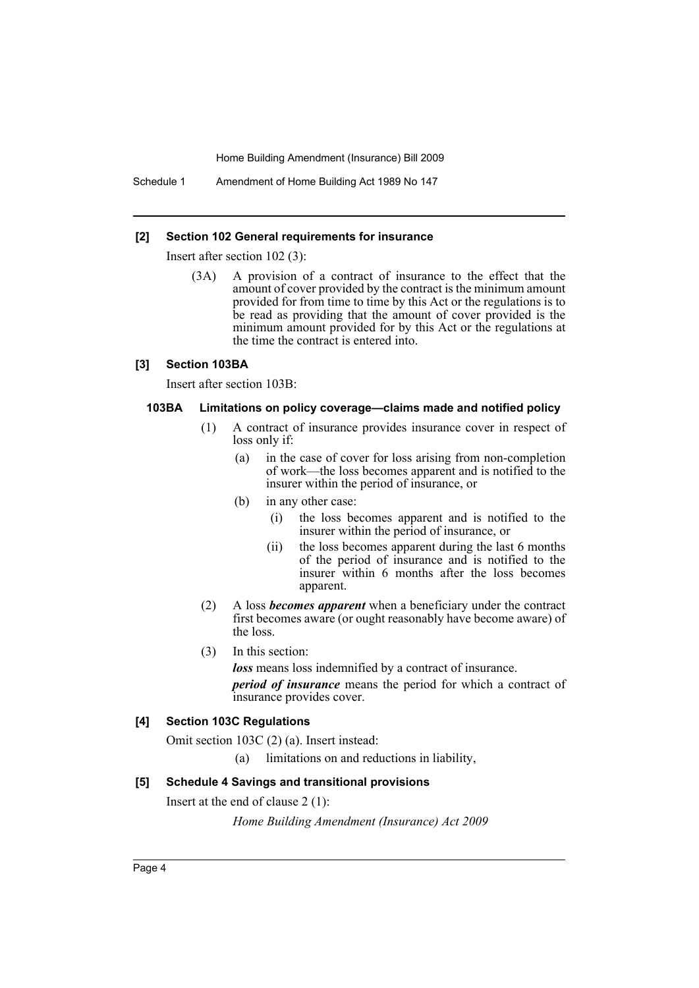Schedule 1 Amendment of Home Building Act 1989 No 147

#### **[2] Section 102 General requirements for insurance**

Insert after section 102 (3):

(3A) A provision of a contract of insurance to the effect that the amount of cover provided by the contract is the minimum amount provided for from time to time by this Act or the regulations is to be read as providing that the amount of cover provided is the minimum amount provided for by this Act or the regulations at the time the contract is entered into.

#### **[3] Section 103BA**

Insert after section 103B:

#### **103BA Limitations on policy coverage—claims made and notified policy**

- (1) A contract of insurance provides insurance cover in respect of loss only if:
	- (a) in the case of cover for loss arising from non-completion of work—the loss becomes apparent and is notified to the insurer within the period of insurance, or
	- (b) in any other case:
		- (i) the loss becomes apparent and is notified to the insurer within the period of insurance, or
		- (ii) the loss becomes apparent during the last 6 months of the period of insurance and is notified to the insurer within 6 months after the loss becomes apparent.
- (2) A loss *becomes apparent* when a beneficiary under the contract first becomes aware (or ought reasonably have become aware) of the loss.
- (3) In this section:

*loss* means loss indemnified by a contract of insurance.

*period of insurance* means the period for which a contract of insurance provides cover.

#### **[4] Section 103C Regulations**

Omit section 103C (2) (a). Insert instead:

(a) limitations on and reductions in liability,

#### **[5] Schedule 4 Savings and transitional provisions**

Insert at the end of clause 2 (1):

*Home Building Amendment (Insurance) Act 2009*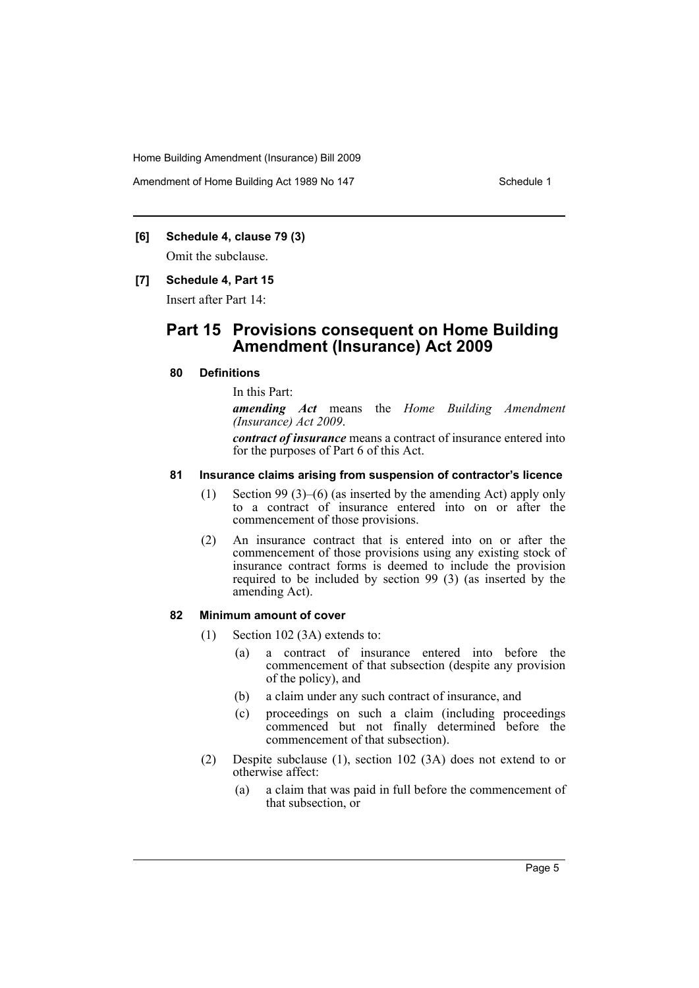Amendment of Home Building Act 1989 No 147 **Schedule 1** Schedule 1

#### **[6] Schedule 4, clause 79 (3)**

Omit the subclause.

#### **[7] Schedule 4, Part 15**

Insert after Part 14:

## **Part 15 Provisions consequent on Home Building Amendment (Insurance) Act 2009**

#### **80 Definitions**

In this Part:

*amending Act* means the *Home Building Amendment (Insurance) Act 2009*.

*contract of insurance* means a contract of insurance entered into for the purposes of Part 6 of this Act.

#### **81 Insurance claims arising from suspension of contractor's licence**

- (1) Section 99 (3)–(6) (as inserted by the amending Act) apply only to a contract of insurance entered into on or after the commencement of those provisions.
- (2) An insurance contract that is entered into on or after the commencement of those provisions using any existing stock of insurance contract forms is deemed to include the provision required to be included by section 99 (3) (as inserted by the amending Act).

#### **82 Minimum amount of cover**

- (1) Section 102 (3A) extends to:
	- (a) a contract of insurance entered into before the commencement of that subsection (despite any provision of the policy), and
	- (b) a claim under any such contract of insurance, and
	- (c) proceedings on such a claim (including proceedings commenced but not finally determined before the commencement of that subsection).
- (2) Despite subclause (1), section 102 (3A) does not extend to or otherwise affect:
	- (a) a claim that was paid in full before the commencement of that subsection, or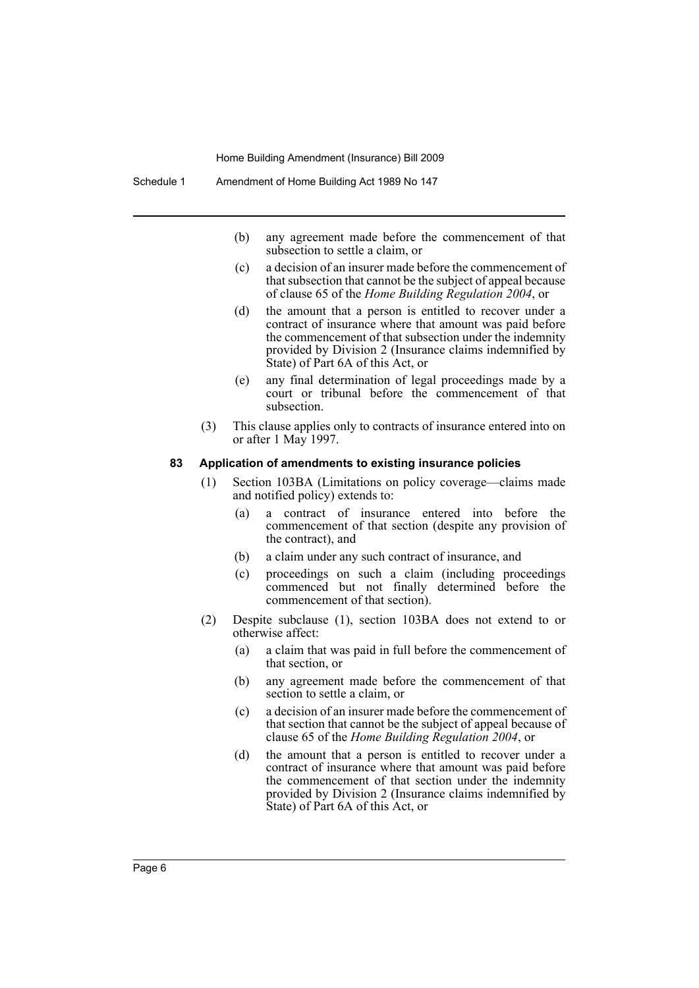- (b) any agreement made before the commencement of that subsection to settle a claim, or
- (c) a decision of an insurer made before the commencement of that subsection that cannot be the subject of appeal because of clause 65 of the *Home Building Regulation 2004*, or
- (d) the amount that a person is entitled to recover under a contract of insurance where that amount was paid before the commencement of that subsection under the indemnity provided by Division 2 (Insurance claims indemnified by State) of Part 6A of this Act, or
- (e) any final determination of legal proceedings made by a court or tribunal before the commencement of that subsection.
- (3) This clause applies only to contracts of insurance entered into on or after 1 May 1997.

#### **83 Application of amendments to existing insurance policies**

- (1) Section 103BA (Limitations on policy coverage—claims made and notified policy) extends to:
	- (a) a contract of insurance entered into before the commencement of that section (despite any provision of the contract), and
	- (b) a claim under any such contract of insurance, and
	- (c) proceedings on such a claim (including proceedings commenced but not finally determined before the commencement of that section).
- (2) Despite subclause (1), section 103BA does not extend to or otherwise affect:
	- (a) a claim that was paid in full before the commencement of that section, or
	- (b) any agreement made before the commencement of that section to settle a claim, or
	- (c) a decision of an insurer made before the commencement of that section that cannot be the subject of appeal because of clause 65 of the *Home Building Regulation 2004*, or
	- (d) the amount that a person is entitled to recover under a contract of insurance where that amount was paid before the commencement of that section under the indemnity provided by Division 2 (Insurance claims indemnified by State) of Part 6A of this Act, or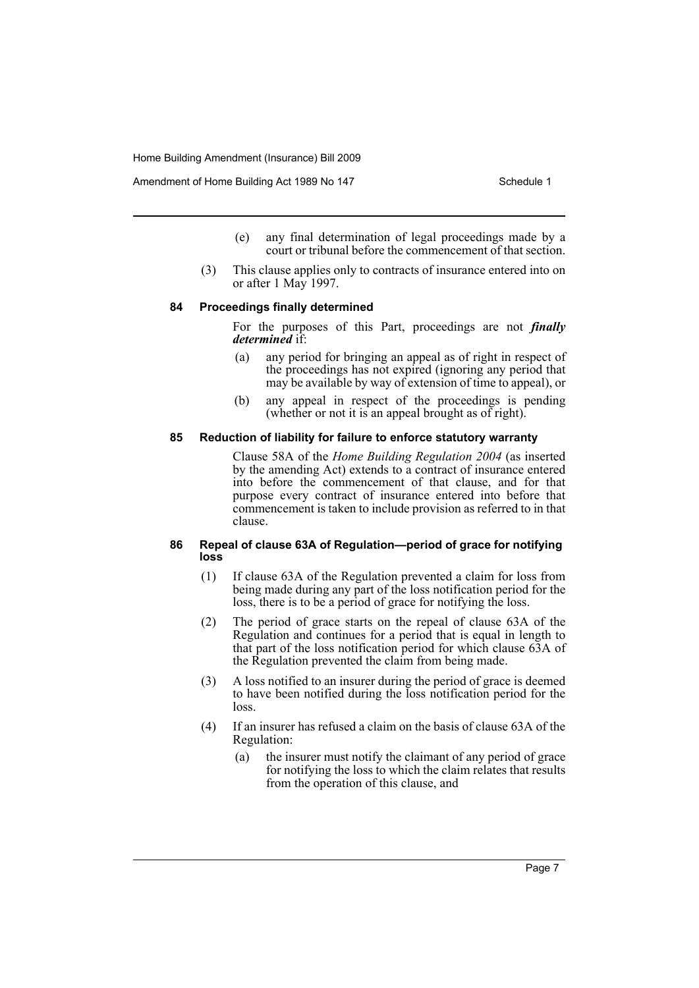- (e) any final determination of legal proceedings made by a court or tribunal before the commencement of that section.
- (3) This clause applies only to contracts of insurance entered into on or after 1 May 1997.

#### **84 Proceedings finally determined**

For the purposes of this Part, proceedings are not *finally determined* if:

- (a) any period for bringing an appeal as of right in respect of the proceedings has not expired (ignoring any period that may be available by way of extension of time to appeal), or
- (b) any appeal in respect of the proceedings is pending (whether or not it is an appeal brought as of right).

#### **85 Reduction of liability for failure to enforce statutory warranty**

Clause 58A of the *Home Building Regulation 2004* (as inserted by the amending Act) extends to a contract of insurance entered into before the commencement of that clause, and for that purpose every contract of insurance entered into before that commencement is taken to include provision as referred to in that clause.

#### **86 Repeal of clause 63A of Regulation—period of grace for notifying loss**

- (1) If clause 63A of the Regulation prevented a claim for loss from being made during any part of the loss notification period for the loss, there is to be a period of grace for notifying the loss.
- (2) The period of grace starts on the repeal of clause 63A of the Regulation and continues for a period that is equal in length to that part of the loss notification period for which clause 63A of the Regulation prevented the claim from being made.
- (3) A loss notified to an insurer during the period of grace is deemed to have been notified during the loss notification period for the loss.
- (4) If an insurer has refused a claim on the basis of clause 63A of the Regulation:
	- (a) the insurer must notify the claimant of any period of grace for notifying the loss to which the claim relates that results from the operation of this clause, and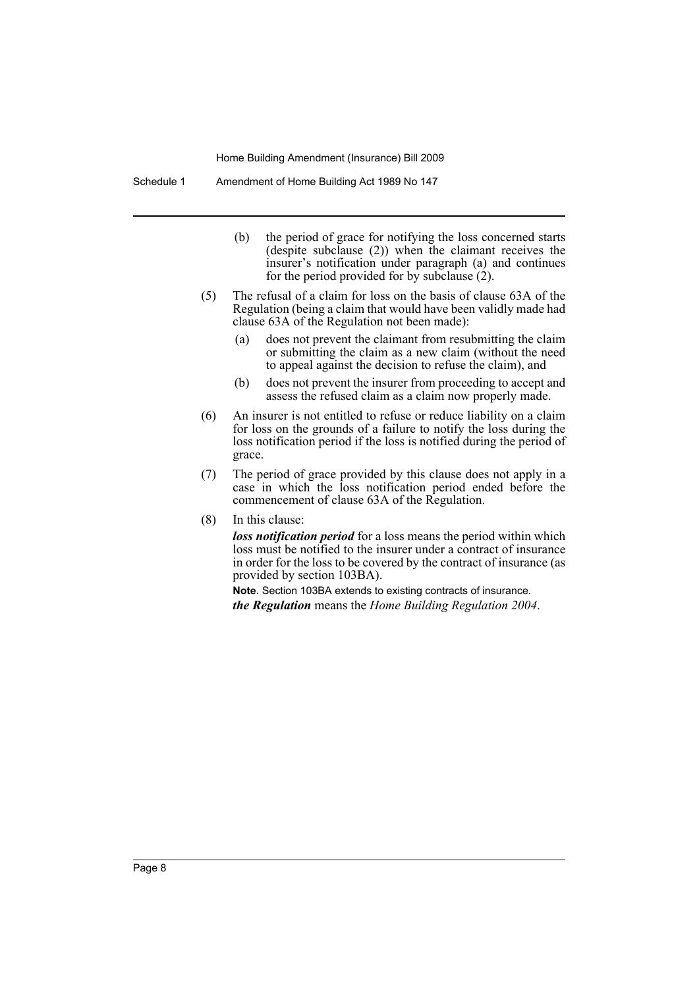Schedule 1 Amendment of Home Building Act 1989 No 147

- (b) the period of grace for notifying the loss concerned starts (despite subclause (2)) when the claimant receives the insurer's notification under paragraph (a) and continues for the period provided for by subclause  $(2)$ .
- (5) The refusal of a claim for loss on the basis of clause 63A of the Regulation (being a claim that would have been validly made had clause 63A of the Regulation not been made):
	- (a) does not prevent the claimant from resubmitting the claim or submitting the claim as a new claim (without the need to appeal against the decision to refuse the claim), and
	- (b) does not prevent the insurer from proceeding to accept and assess the refused claim as a claim now properly made.
- (6) An insurer is not entitled to refuse or reduce liability on a claim for loss on the grounds of a failure to notify the loss during the loss notification period if the loss is notified during the period of grace.
- (7) The period of grace provided by this clause does not apply in a case in which the loss notification period ended before the commencement of clause 63A of the Regulation.
- (8) In this clause:

*loss notification period* for a loss means the period within which loss must be notified to the insurer under a contract of insurance in order for the loss to be covered by the contract of insurance (as provided by section 103BA).

**Note.** Section 103BA extends to existing contracts of insurance.

*the Regulation* means the *Home Building Regulation 2004*.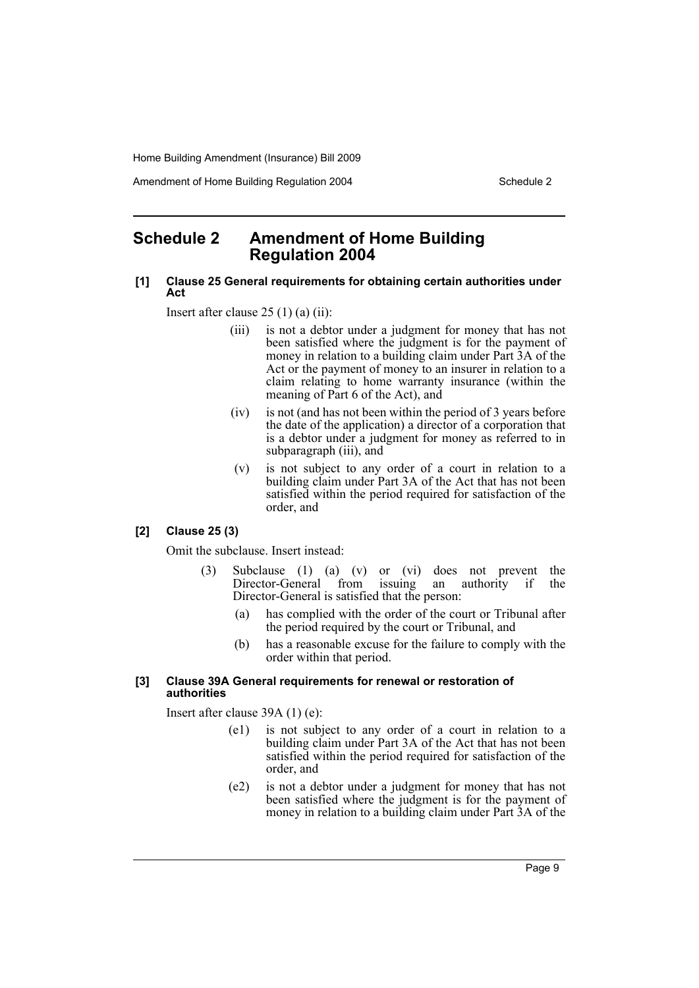Amendment of Home Building Regulation 2004 Schedule 2

## <span id="page-9-0"></span>**Schedule 2 Amendment of Home Building Regulation 2004**

#### **[1] Clause 25 General requirements for obtaining certain authorities under Act**

Insert after clause  $25(1)(a)(ii)$ :

- (iii) is not a debtor under a judgment for money that has not been satisfied where the judgment is for the payment of money in relation to a building claim under Part 3A of the Act or the payment of money to an insurer in relation to a claim relating to home warranty insurance (within the meaning of Part 6 of the Act), and
- (iv) is not (and has not been within the period of 3 years before the date of the application) a director of a corporation that is a debtor under a judgment for money as referred to in subparagraph (iii), and
- (v) is not subject to any order of a court in relation to a building claim under Part 3A of the Act that has not been satisfied within the period required for satisfaction of the order, and

#### **[2] Clause 25 (3)**

Omit the subclause. Insert instead:

- (3) Subclause (1) (a) (v) or (vi) does not prevent the Director-General from issuing an authority if the Director-General from Director-General is satisfied that the person:
	- (a) has complied with the order of the court or Tribunal after the period required by the court or Tribunal, and
	- (b) has a reasonable excuse for the failure to comply with the order within that period.

#### **[3] Clause 39A General requirements for renewal or restoration of authorities**

Insert after clause 39A (1) (e):

- (e1) is not subject to any order of a court in relation to a building claim under Part 3A of the Act that has not been satisfied within the period required for satisfaction of the order, and
- (e2) is not a debtor under a judgment for money that has not been satisfied where the judgment is for the payment of money in relation to a building claim under Part 3A of the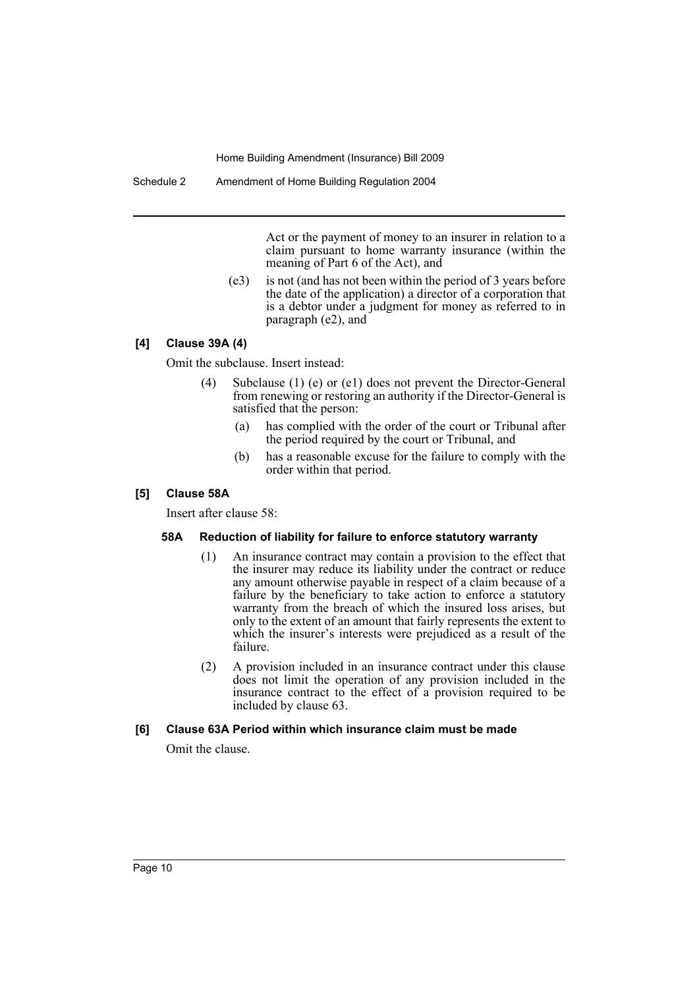Schedule 2 Amendment of Home Building Regulation 2004

Act or the payment of money to an insurer in relation to a claim pursuant to home warranty insurance (within the meaning of Part 6 of the Act), and

(e3) is not (and has not been within the period of 3 years before the date of the application) a director of a corporation that is a debtor under a judgment for money as referred to in paragraph (e2), and

#### **[4] Clause 39A (4)**

Omit the subclause. Insert instead:

- (4) Subclause (1) (e) or (e1) does not prevent the Director-General from renewing or restoring an authority if the Director-General is satisfied that the person:
	- (a) has complied with the order of the court or Tribunal after the period required by the court or Tribunal, and
	- (b) has a reasonable excuse for the failure to comply with the order within that period.

#### **[5] Clause 58A**

Insert after clause 58:

#### **58A Reduction of liability for failure to enforce statutory warranty**

- (1) An insurance contract may contain a provision to the effect that the insurer may reduce its liability under the contract or reduce any amount otherwise payable in respect of a claim because of a failure by the beneficiary to take action to enforce a statutory warranty from the breach of which the insured loss arises, but only to the extent of an amount that fairly represents the extent to which the insurer's interests were prejudiced as a result of the failure.
- (2) A provision included in an insurance contract under this clause does not limit the operation of any provision included in the insurance contract to the effect of a provision required to be included by clause 63.

#### **[6] Clause 63A Period within which insurance claim must be made**

Omit the clause.